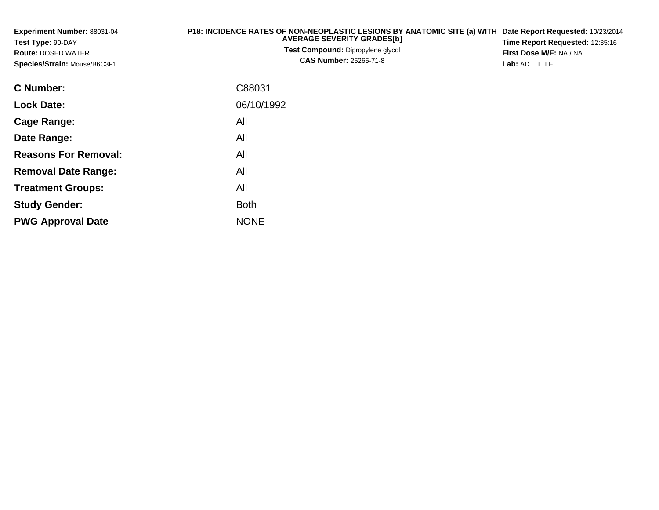| Experiment Number: 88031-04<br>Test Type: 90-DAY<br><b>Route: DOSED WATER</b><br>Species/Strain: Mouse/B6C3F1 | P18: INCIDENCE RATES OF NON-NEOPLASTIC LESIONS BY ANATOMIC SITE (a) WITH<br><b>AVERAGE SEVERITY GRADES[b]</b><br>Test Compound: Dipropylene glycol<br><b>CAS Number: 25265-71-8</b> | Date Report Requested: 10/23/2014<br>Time Report Requested: 12:35:16<br>First Dose M/F: NA / NA<br>Lab: AD LITTLE |
|---------------------------------------------------------------------------------------------------------------|-------------------------------------------------------------------------------------------------------------------------------------------------------------------------------------|-------------------------------------------------------------------------------------------------------------------|
| <b>C</b> Number:                                                                                              | C88031                                                                                                                                                                              |                                                                                                                   |
| <b>Lock Date:</b>                                                                                             | 06/10/1992                                                                                                                                                                          |                                                                                                                   |
| Cage Range:                                                                                                   | All                                                                                                                                                                                 |                                                                                                                   |
| Date Range:                                                                                                   | All                                                                                                                                                                                 |                                                                                                                   |
| <b>Reasons For Removal:</b>                                                                                   | All                                                                                                                                                                                 |                                                                                                                   |
| <b>Removal Date Range:</b>                                                                                    | All                                                                                                                                                                                 |                                                                                                                   |

**Treatment Groups:**

**PWG Approval Date**

**Study Gender:**

All

e NONE

Both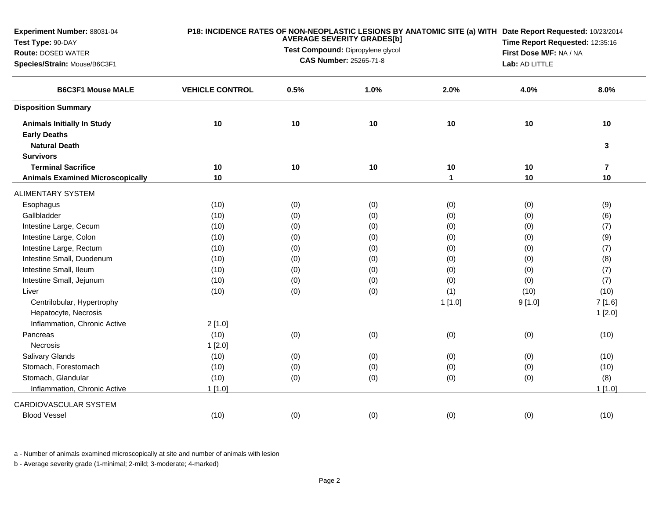| Experiment Number: 88031-04<br>Test Type: 90-DAY<br><b>Route: DOSED WATER</b><br>Species/Strain: Mouse/B6C3F1 |                        |      | P18: INCIDENCE RATES OF NON-NEOPLASTIC LESIONS BY ANATOMIC SITE (a) WITH Date Report Requested: 10/23/2014<br><b>AVERAGE SEVERITY GRADES[b]</b><br>Time Report Requested: 12:35:16<br>Test Compound: Dipropylene glycol<br>First Dose M/F: NA / NA<br><b>CAS Number: 25265-71-8</b><br>Lab: AD LITTLE |              |        |                         |  |
|---------------------------------------------------------------------------------------------------------------|------------------------|------|-------------------------------------------------------------------------------------------------------------------------------------------------------------------------------------------------------------------------------------------------------------------------------------------------------|--------------|--------|-------------------------|--|
| <b>B6C3F1 Mouse MALE</b>                                                                                      | <b>VEHICLE CONTROL</b> | 0.5% | 1.0%                                                                                                                                                                                                                                                                                                  | 2.0%         | 4.0%   | 8.0%                    |  |
| <b>Disposition Summary</b>                                                                                    |                        |      |                                                                                                                                                                                                                                                                                                       |              |        |                         |  |
| <b>Animals Initially In Study</b><br><b>Early Deaths</b><br><b>Natural Death</b>                              | 10                     | 10   | 10                                                                                                                                                                                                                                                                                                    | 10           | 10     | 10<br>3                 |  |
| <b>Survivors</b>                                                                                              |                        |      |                                                                                                                                                                                                                                                                                                       |              |        |                         |  |
| <b>Terminal Sacrifice</b>                                                                                     | 10                     | 10   | 10                                                                                                                                                                                                                                                                                                    | 10           | 10     | $\overline{\mathbf{r}}$ |  |
| <b>Animals Examined Microscopically</b>                                                                       | 10                     |      |                                                                                                                                                                                                                                                                                                       | $\mathbf{1}$ | 10     | 10                      |  |
| <b>ALIMENTARY SYSTEM</b>                                                                                      |                        |      |                                                                                                                                                                                                                                                                                                       |              |        |                         |  |
| Esophagus                                                                                                     | (10)                   | (0)  | (0)                                                                                                                                                                                                                                                                                                   | (0)          | (0)    | (9)                     |  |
| Gallbladder                                                                                                   | (10)                   | (0)  | (0)                                                                                                                                                                                                                                                                                                   | (0)          | (0)    | (6)                     |  |
| Intestine Large, Cecum                                                                                        | (10)                   | (0)  | (0)                                                                                                                                                                                                                                                                                                   | (0)          | (0)    | (7)                     |  |
| Intestine Large, Colon                                                                                        | (10)                   | (0)  | (0)                                                                                                                                                                                                                                                                                                   | (0)          | (0)    | (9)                     |  |
| Intestine Large, Rectum                                                                                       | (10)                   | (0)  | (0)                                                                                                                                                                                                                                                                                                   | (0)          | (0)    | (7)                     |  |
| Intestine Small, Duodenum                                                                                     | (10)                   | (0)  | (0)                                                                                                                                                                                                                                                                                                   | (0)          | (0)    | (8)                     |  |
| Intestine Small, Ileum                                                                                        | (10)                   | (0)  | (0)                                                                                                                                                                                                                                                                                                   | (0)          | (0)    | (7)                     |  |
| Intestine Small, Jejunum                                                                                      | (10)                   | (0)  | (0)                                                                                                                                                                                                                                                                                                   | (0)          | (0)    | (7)                     |  |
| Liver                                                                                                         | (10)                   | (0)  | (0)                                                                                                                                                                                                                                                                                                   | (1)          | (10)   | (10)                    |  |
| Centrilobular, Hypertrophy<br>Hepatocyte, Necrosis                                                            |                        |      |                                                                                                                                                                                                                                                                                                       | 1[1.0]       | 9[1.0] | 7[1.6]                  |  |
| Inflammation, Chronic Active                                                                                  | 2[1.0]                 |      |                                                                                                                                                                                                                                                                                                       |              |        | 1[2.0]                  |  |
| Pancreas                                                                                                      | (10)                   | (0)  | (0)                                                                                                                                                                                                                                                                                                   | (0)          | (0)    | (10)                    |  |
| Necrosis                                                                                                      | 1[2.0]                 |      |                                                                                                                                                                                                                                                                                                       |              |        |                         |  |
| Salivary Glands                                                                                               | (10)                   | (0)  | (0)                                                                                                                                                                                                                                                                                                   | (0)          | (0)    | (10)                    |  |
| Stomach, Forestomach                                                                                          | (10)                   | (0)  | (0)                                                                                                                                                                                                                                                                                                   | (0)          | (0)    | (10)                    |  |
| Stomach, Glandular                                                                                            | (10)                   | (0)  | (0)                                                                                                                                                                                                                                                                                                   | (0)          | (0)    | (8)                     |  |
| Inflammation, Chronic Active                                                                                  | $1$ [1.0]              |      |                                                                                                                                                                                                                                                                                                       |              |        | $1$ [1.0]               |  |
| CARDIOVASCULAR SYSTEM                                                                                         |                        |      |                                                                                                                                                                                                                                                                                                       |              |        |                         |  |
| <b>Blood Vessel</b>                                                                                           | (10)                   | (0)  | (0)                                                                                                                                                                                                                                                                                                   | (0)          | (0)    | (10)                    |  |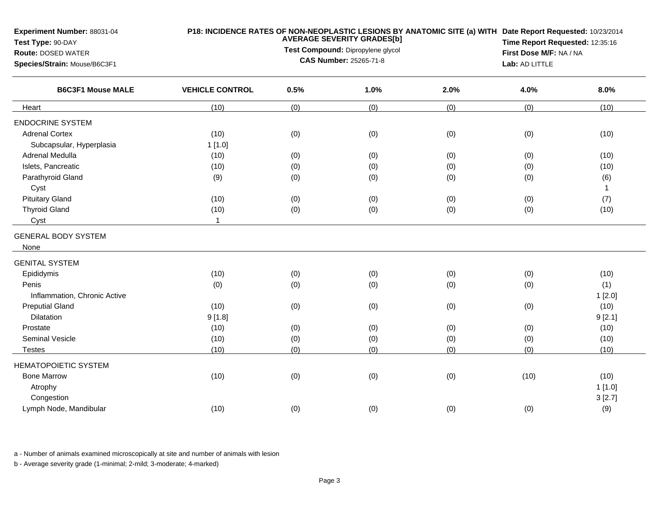| Experiment Number: 88031-04<br>Test Type: 90-DAY<br><b>Route: DOSED WATER</b><br>Species/Strain: Mouse/B6C3F1 |                        | P18: INCIDENCE RATES OF NON-NEOPLASTIC LESIONS BY ANATOMIC SITE (a) WITH Date Report Requested: 10/23/2014<br><b>AVERAGE SEVERITY GRADES[b]</b><br>Test Compound: Dipropylene glycol<br>CAS Number: 25265-71-8 |      |      |      |              |
|---------------------------------------------------------------------------------------------------------------|------------------------|----------------------------------------------------------------------------------------------------------------------------------------------------------------------------------------------------------------|------|------|------|--------------|
| <b>B6C3F1 Mouse MALE</b>                                                                                      | <b>VEHICLE CONTROL</b> | 0.5%                                                                                                                                                                                                           | 1.0% | 2.0% | 4.0% | 8.0%         |
| Heart                                                                                                         | (10)                   | (0)                                                                                                                                                                                                            | (0)  | (0)  | (0)  | (10)         |
| <b>ENDOCRINE SYSTEM</b>                                                                                       |                        |                                                                                                                                                                                                                |      |      |      |              |
| <b>Adrenal Cortex</b>                                                                                         | (10)                   | (0)                                                                                                                                                                                                            | (0)  | (0)  | (0)  | (10)         |
| Subcapsular, Hyperplasia                                                                                      | 1[1.0]                 |                                                                                                                                                                                                                |      |      |      |              |
| Adrenal Medulla                                                                                               | (10)                   | (0)                                                                                                                                                                                                            | (0)  | (0)  | (0)  | (10)         |
| Islets, Pancreatic                                                                                            | (10)                   | (0)                                                                                                                                                                                                            | (0)  | (0)  | (0)  | (10)         |
| Parathyroid Gland                                                                                             | (9)                    | (0)                                                                                                                                                                                                            | (0)  | (0)  | (0)  | (6)          |
| Cyst                                                                                                          |                        |                                                                                                                                                                                                                |      |      |      | $\mathbf{1}$ |
| <b>Pituitary Gland</b>                                                                                        | (10)                   | (0)                                                                                                                                                                                                            | (0)  | (0)  | (0)  | (7)          |
| <b>Thyroid Gland</b>                                                                                          | (10)                   | (0)                                                                                                                                                                                                            | (0)  | (0)  | (0)  | (10)         |
| Cyst                                                                                                          | $\mathbf{1}$           |                                                                                                                                                                                                                |      |      |      |              |
| <b>GENERAL BODY SYSTEM</b>                                                                                    |                        |                                                                                                                                                                                                                |      |      |      |              |
| None                                                                                                          |                        |                                                                                                                                                                                                                |      |      |      |              |
| <b>GENITAL SYSTEM</b>                                                                                         |                        |                                                                                                                                                                                                                |      |      |      |              |
| Epididymis                                                                                                    | (10)                   | (0)                                                                                                                                                                                                            | (0)  | (0)  | (0)  | (10)         |
| Penis                                                                                                         | (0)                    | (0)                                                                                                                                                                                                            | (0)  | (0)  | (0)  | (1)          |
| Inflammation, Chronic Active                                                                                  |                        |                                                                                                                                                                                                                |      |      |      | 1[2.0]       |
| <b>Preputial Gland</b>                                                                                        | (10)                   | (0)                                                                                                                                                                                                            | (0)  | (0)  | (0)  | (10)         |
| Dilatation                                                                                                    | 9[1.8]                 |                                                                                                                                                                                                                |      |      |      | 9[2.1]       |
| Prostate                                                                                                      | (10)                   | (0)                                                                                                                                                                                                            | (0)  | (0)  | (0)  | (10)         |
| <b>Seminal Vesicle</b>                                                                                        | (10)                   | (0)                                                                                                                                                                                                            | (0)  | (0)  | (0)  | (10)         |
| <b>Testes</b>                                                                                                 | (10)                   | (0)                                                                                                                                                                                                            | (0)  | (0)  | (0)  | (10)         |
| <b>HEMATOPOIETIC SYSTEM</b>                                                                                   |                        |                                                                                                                                                                                                                |      |      |      |              |
| <b>Bone Marrow</b>                                                                                            | (10)                   | (0)                                                                                                                                                                                                            | (0)  | (0)  | (10) | (10)         |
| Atrophy                                                                                                       |                        |                                                                                                                                                                                                                |      |      |      | 1[1.0]       |
| Congestion                                                                                                    |                        |                                                                                                                                                                                                                |      |      |      | 3[2.7]       |
| Lymph Node, Mandibular                                                                                        | (10)                   | (0)                                                                                                                                                                                                            | (0)  | (0)  | (0)  | (9)          |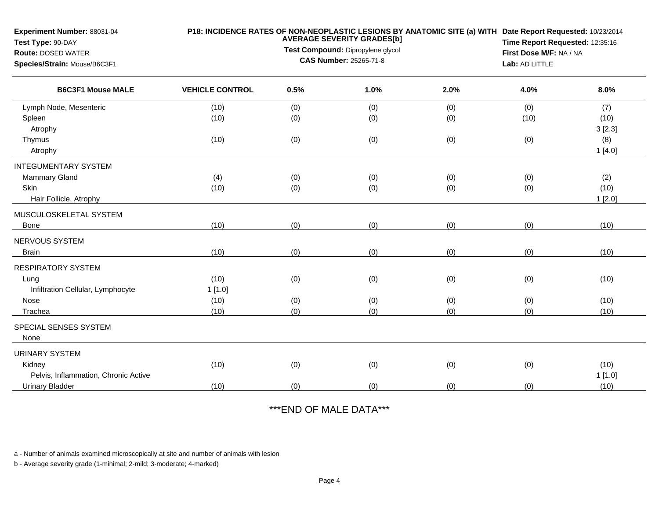| Experiment Number: 88031-04<br>Test Type: 90-DAY |                        |      | <b>AVERAGE SEVERITY GRADES[b]</b> | P18: INCIDENCE RATES OF NON-NEOPLASTIC LESIONS BY ANATOMIC SITE (a) WITH Date Report Requested: 10/23/2014 | Time Report Requested: 12:35:16 |        |  |
|--------------------------------------------------|------------------------|------|-----------------------------------|------------------------------------------------------------------------------------------------------------|---------------------------------|--------|--|
| <b>Route: DOSED WATER</b>                        |                        |      | Test Compound: Dipropylene glycol |                                                                                                            | First Dose M/F: NA / NA         |        |  |
| Species/Strain: Mouse/B6C3F1                     |                        |      | CAS Number: 25265-71-8            |                                                                                                            | Lab: AD LITTLE                  |        |  |
| <b>B6C3F1 Mouse MALE</b>                         | <b>VEHICLE CONTROL</b> | 0.5% | 1.0%                              | 2.0%                                                                                                       | 4.0%                            | 8.0%   |  |
| Lymph Node, Mesenteric                           | (10)                   | (0)  | (0)                               | (0)                                                                                                        | (0)                             | (7)    |  |
| Spleen                                           | (10)                   | (0)  | (0)                               | (0)                                                                                                        | (10)                            | (10)   |  |
| Atrophy                                          |                        |      |                                   |                                                                                                            |                                 | 3[2.3] |  |
| Thymus                                           | (10)                   | (0)  | (0)                               | (0)                                                                                                        | (0)                             | (8)    |  |
| Atrophy                                          |                        |      |                                   |                                                                                                            |                                 | 1[4.0] |  |
| <b>INTEGUMENTARY SYSTEM</b>                      |                        |      |                                   |                                                                                                            |                                 |        |  |
| Mammary Gland                                    | (4)                    | (0)  | (0)                               | (0)                                                                                                        | (0)                             | (2)    |  |
| <b>Skin</b>                                      | (10)                   | (0)  | (0)                               | (0)                                                                                                        | (0)                             | (10)   |  |
| Hair Follicle, Atrophy                           |                        |      |                                   |                                                                                                            |                                 | 1[2.0] |  |
| MUSCULOSKELETAL SYSTEM                           |                        |      |                                   |                                                                                                            |                                 |        |  |
| Bone                                             | (10)                   | (0)  | (0)                               | (0)                                                                                                        | (0)                             | (10)   |  |
| NERVOUS SYSTEM                                   |                        |      |                                   |                                                                                                            |                                 |        |  |
| <b>Brain</b>                                     | (10)                   | (0)  | (0)                               | (0)                                                                                                        | (0)                             | (10)   |  |
| <b>RESPIRATORY SYSTEM</b>                        |                        |      |                                   |                                                                                                            |                                 |        |  |
| Lung                                             | (10)                   | (0)  | (0)                               | (0)                                                                                                        | (0)                             | (10)   |  |
| Infiltration Cellular, Lymphocyte                | 1[1.0]                 |      |                                   |                                                                                                            |                                 |        |  |
| Nose                                             | (10)                   | (0)  | (0)                               | (0)                                                                                                        | (0)                             | (10)   |  |
| Trachea                                          | (10)                   | (0)  | (0)                               | (0)                                                                                                        | (0)                             | (10)   |  |
| SPECIAL SENSES SYSTEM                            |                        |      |                                   |                                                                                                            |                                 |        |  |
| None                                             |                        |      |                                   |                                                                                                            |                                 |        |  |
| <b>URINARY SYSTEM</b>                            |                        |      |                                   |                                                                                                            |                                 |        |  |
| Kidney                                           | (10)                   | (0)  | (0)                               | (0)                                                                                                        | (0)                             | (10)   |  |
| Pelvis, Inflammation, Chronic Active             |                        |      |                                   |                                                                                                            |                                 | 1[1.0] |  |
| <b>Urinary Bladder</b>                           | (10)                   | (0)  | (0)                               | (0)                                                                                                        | (0)                             | (10)   |  |
|                                                  |                        |      |                                   |                                                                                                            |                                 |        |  |

## \*\*\*END OF MALE DATA\*\*\*

a - Number of animals examined microscopically at site and number of animals with lesion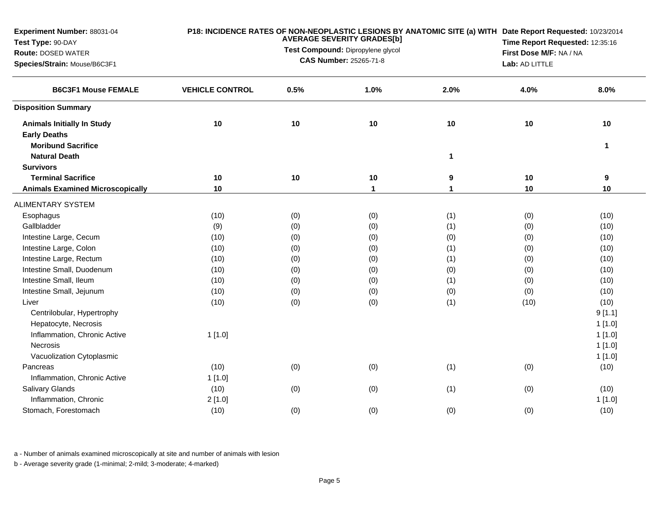| Experiment Number: 88031-04<br>Test Type: 90-DAY<br><b>Route: DOSED WATER</b><br>Species/Strain: Mouse/B6C3F1 |                        |      | <b>AVERAGE SEVERITY GRADES[b]</b><br>Test Compound: Dipropylene glycol<br><b>CAS Number: 25265-71-8</b> | P18: INCIDENCE RATES OF NON-NEOPLASTIC LESIONS BY ANATOMIC SITE (a) WITH Date Report Requested: 10/23/2014<br>Time Report Requested: 12:35:16<br>First Dose M/F: NA / NA<br>Lab: AD LITTLE |      |              |
|---------------------------------------------------------------------------------------------------------------|------------------------|------|---------------------------------------------------------------------------------------------------------|--------------------------------------------------------------------------------------------------------------------------------------------------------------------------------------------|------|--------------|
| <b>B6C3F1 Mouse FEMALE</b>                                                                                    | <b>VEHICLE CONTROL</b> | 0.5% | 1.0%                                                                                                    | 2.0%                                                                                                                                                                                       | 4.0% | 8.0%         |
| <b>Disposition Summary</b>                                                                                    |                        |      |                                                                                                         |                                                                                                                                                                                            |      |              |
| <b>Animals Initially In Study</b>                                                                             | 10                     | 10   | 10                                                                                                      | 10                                                                                                                                                                                         | 10   | 10           |
| <b>Early Deaths</b>                                                                                           |                        |      |                                                                                                         |                                                                                                                                                                                            |      |              |
| <b>Moribund Sacrifice</b>                                                                                     |                        |      |                                                                                                         |                                                                                                                                                                                            |      | $\mathbf{1}$ |
| <b>Natural Death</b>                                                                                          |                        |      |                                                                                                         | $\mathbf{1}$                                                                                                                                                                               |      |              |
| <b>Survivors</b>                                                                                              |                        |      |                                                                                                         |                                                                                                                                                                                            |      |              |
| <b>Terminal Sacrifice</b>                                                                                     | 10                     | 10   | $10$                                                                                                    | 9                                                                                                                                                                                          | 10   | 9            |
| <b>Animals Examined Microscopically</b>                                                                       | 10                     |      | $\mathbf{1}$                                                                                            | $\mathbf{1}$                                                                                                                                                                               | 10   | 10           |
| <b>ALIMENTARY SYSTEM</b>                                                                                      |                        |      |                                                                                                         |                                                                                                                                                                                            |      |              |
| Esophagus                                                                                                     | (10)                   | (0)  | (0)                                                                                                     | (1)                                                                                                                                                                                        | (0)  | (10)         |
| Gallbladder                                                                                                   | (9)                    | (0)  | (0)                                                                                                     | (1)                                                                                                                                                                                        | (0)  | (10)         |
| Intestine Large, Cecum                                                                                        | (10)                   | (0)  | (0)                                                                                                     | (0)                                                                                                                                                                                        | (0)  | (10)         |
| Intestine Large, Colon                                                                                        | (10)                   | (0)  | (0)                                                                                                     | (1)                                                                                                                                                                                        | (0)  | (10)         |
| Intestine Large, Rectum                                                                                       | (10)                   | (0)  | (0)                                                                                                     | (1)                                                                                                                                                                                        | (0)  | (10)         |
| Intestine Small, Duodenum                                                                                     | (10)                   | (0)  | (0)                                                                                                     | (0)                                                                                                                                                                                        | (0)  | (10)         |
| Intestine Small, Ileum                                                                                        | (10)                   | (0)  | (0)                                                                                                     | (1)                                                                                                                                                                                        | (0)  | (10)         |
| Intestine Small, Jejunum                                                                                      | (10)                   | (0)  | (0)                                                                                                     | (0)                                                                                                                                                                                        | (0)  | (10)         |
| Liver                                                                                                         | (10)                   | (0)  | (0)                                                                                                     | (1)                                                                                                                                                                                        | (10) | (10)         |
| Centrilobular, Hypertrophy                                                                                    |                        |      |                                                                                                         |                                                                                                                                                                                            |      | 9[1.1]       |
| Hepatocyte, Necrosis                                                                                          |                        |      |                                                                                                         |                                                                                                                                                                                            |      | 1[1.0]       |
| Inflammation, Chronic Active                                                                                  | 1[1.0]                 |      |                                                                                                         |                                                                                                                                                                                            |      | 1[1.0]       |
| Necrosis                                                                                                      |                        |      |                                                                                                         |                                                                                                                                                                                            |      | 1[1.0]       |
| Vacuolization Cytoplasmic                                                                                     |                        |      |                                                                                                         |                                                                                                                                                                                            |      | 1[1.0]       |
| Pancreas                                                                                                      | (10)                   | (0)  | (0)                                                                                                     | (1)                                                                                                                                                                                        | (0)  | (10)         |
| Inflammation, Chronic Active                                                                                  | 1[1.0]                 |      |                                                                                                         |                                                                                                                                                                                            |      |              |
| Salivary Glands                                                                                               | (10)                   | (0)  | (0)                                                                                                     | (1)                                                                                                                                                                                        | (0)  | (10)         |
| Inflammation, Chronic                                                                                         | 2[1.0]                 |      |                                                                                                         |                                                                                                                                                                                            |      | 1[1.0]       |
| Stomach, Forestomach                                                                                          | (10)                   | (0)  | (0)                                                                                                     | (0)                                                                                                                                                                                        | (0)  | (10)         |
|                                                                                                               |                        |      |                                                                                                         |                                                                                                                                                                                            |      |              |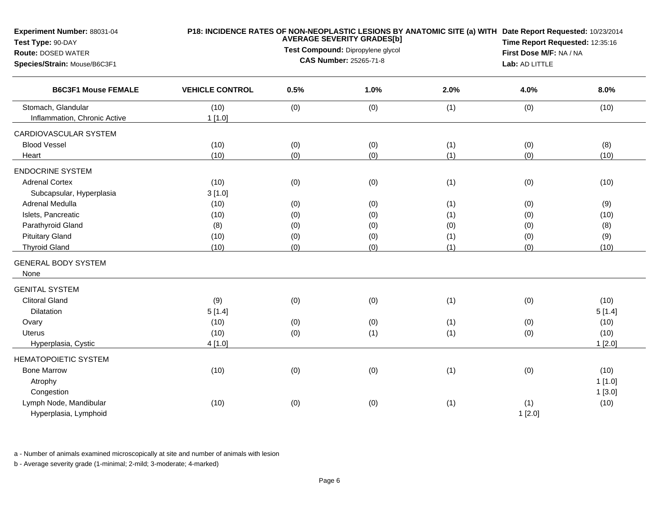| Experiment Number: 88031-04<br>Test Type: 90-DAY<br><b>Route: DOSED WATER</b><br>Species/Strain: Mouse/B6C3F1 |                        | P18: INCIDENCE RATES OF NON-NEOPLASTIC LESIONS BY ANATOMIC SITE (a) WITH Date Report Requested: 10/23/2014<br>Time Report Requested: 12:35:16<br>First Dose M/F: NA / NA<br>Lab: AD LITTLE |      |      |        |        |
|---------------------------------------------------------------------------------------------------------------|------------------------|--------------------------------------------------------------------------------------------------------------------------------------------------------------------------------------------|------|------|--------|--------|
| <b>B6C3F1 Mouse FEMALE</b>                                                                                    | <b>VEHICLE CONTROL</b> | 0.5%                                                                                                                                                                                       | 1.0% | 2.0% | 4.0%   | 8.0%   |
| Stomach, Glandular                                                                                            | (10)                   | (0)                                                                                                                                                                                        | (0)  | (1)  | (0)    | (10)   |
| Inflammation, Chronic Active                                                                                  | 1[1.0]                 |                                                                                                                                                                                            |      |      |        |        |
| CARDIOVASCULAR SYSTEM                                                                                         |                        |                                                                                                                                                                                            |      |      |        |        |
| <b>Blood Vessel</b>                                                                                           | (10)                   | (0)                                                                                                                                                                                        | (0)  | (1)  | (0)    | (8)    |
| Heart                                                                                                         | (10)                   | (0)                                                                                                                                                                                        | (0)  | (1)  | (0)    | (10)   |
| <b>ENDOCRINE SYSTEM</b>                                                                                       |                        |                                                                                                                                                                                            |      |      |        |        |
| <b>Adrenal Cortex</b>                                                                                         | (10)                   | (0)                                                                                                                                                                                        | (0)  | (1)  | (0)    | (10)   |
| Subcapsular, Hyperplasia                                                                                      | 3[1.0]                 |                                                                                                                                                                                            |      |      |        |        |
| Adrenal Medulla                                                                                               | (10)                   | (0)                                                                                                                                                                                        | (0)  | (1)  | (0)    | (9)    |
| Islets, Pancreatic                                                                                            | (10)                   | (0)                                                                                                                                                                                        | (0)  | (1)  | (0)    | (10)   |
| Parathyroid Gland                                                                                             | (8)                    | (0)                                                                                                                                                                                        | (0)  | (0)  | (0)    | (8)    |
| <b>Pituitary Gland</b>                                                                                        | (10)                   | (0)                                                                                                                                                                                        | (0)  | (1)  | (0)    | (9)    |
| <b>Thyroid Gland</b>                                                                                          | (10)                   | (0)                                                                                                                                                                                        | (0)  | (1)  | (0)    | (10)   |
| <b>GENERAL BODY SYSTEM</b><br>None                                                                            |                        |                                                                                                                                                                                            |      |      |        |        |
| <b>GENITAL SYSTEM</b>                                                                                         |                        |                                                                                                                                                                                            |      |      |        |        |
| <b>Clitoral Gland</b>                                                                                         | (9)                    | (0)                                                                                                                                                                                        | (0)  | (1)  | (0)    | (10)   |
| Dilatation                                                                                                    | 5[1.4]                 |                                                                                                                                                                                            |      |      |        | 5[1.4] |
| Ovary                                                                                                         | (10)                   | (0)                                                                                                                                                                                        | (0)  | (1)  | (0)    | (10)   |
| <b>Uterus</b>                                                                                                 | (10)                   | (0)                                                                                                                                                                                        | (1)  | (1)  | (0)    | (10)   |
| Hyperplasia, Cystic                                                                                           | 4[1.0]                 |                                                                                                                                                                                            |      |      |        | 1[2.0] |
| <b>HEMATOPOIETIC SYSTEM</b>                                                                                   |                        |                                                                                                                                                                                            |      |      |        |        |
| <b>Bone Marrow</b>                                                                                            | (10)                   | (0)                                                                                                                                                                                        | (0)  | (1)  | (0)    | (10)   |
| Atrophy                                                                                                       |                        |                                                                                                                                                                                            |      |      |        | 1[1.0] |
| Congestion                                                                                                    |                        |                                                                                                                                                                                            |      |      |        | 1[3.0] |
| Lymph Node, Mandibular                                                                                        | (10)                   | (0)                                                                                                                                                                                        | (0)  | (1)  | (1)    | (10)   |
| Hyperplasia, Lymphoid                                                                                         |                        |                                                                                                                                                                                            |      |      | 1[2.0] |        |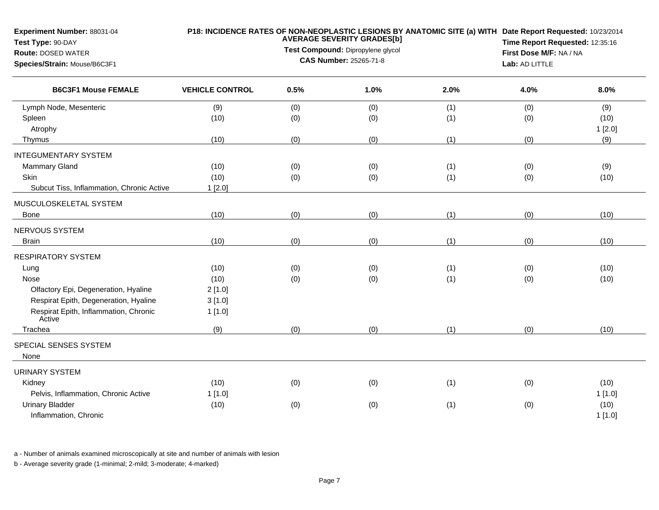| Experiment Number: 88031-04<br>Test Type: 90-DAY          |                        |                                           | <b>AVERAGE SEVERITY GRADES[b]</b><br>Test Compound: Dipropylene glycol |      | P18: INCIDENCE RATES OF NON-NEOPLASTIC LESIONS BY ANATOMIC SITE (a) WITH Date Report Requested: 10/23/2014<br>Time Report Requested: 12:35:16 |                |  |  |
|-----------------------------------------------------------|------------------------|-------------------------------------------|------------------------------------------------------------------------|------|-----------------------------------------------------------------------------------------------------------------------------------------------|----------------|--|--|
| <b>Route: DOSED WATER</b><br>Species/Strain: Mouse/B6C3F1 |                        | First Dose M/F: NA / NA<br>Lab: AD LITTLE |                                                                        |      |                                                                                                                                               |                |  |  |
| <b>B6C3F1 Mouse FEMALE</b>                                | <b>VEHICLE CONTROL</b> | 0.5%                                      | 1.0%                                                                   | 2.0% | 4.0%                                                                                                                                          | 8.0%           |  |  |
| Lymph Node, Mesenteric                                    | (9)                    | (0)                                       | (0)                                                                    | (1)  | (0)                                                                                                                                           | (9)            |  |  |
| Spleen<br>Atrophy                                         | (10)                   | (0)                                       | (0)                                                                    | (1)  | (0)                                                                                                                                           | (10)<br>1[2.0] |  |  |
| Thymus                                                    | (10)                   | (0)                                       | (0)                                                                    | (1)  | (0)                                                                                                                                           | (9)            |  |  |
| <b>INTEGUMENTARY SYSTEM</b>                               |                        |                                           |                                                                        |      |                                                                                                                                               |                |  |  |
| Mammary Gland                                             | (10)                   | (0)                                       | (0)                                                                    | (1)  | (0)                                                                                                                                           | (9)            |  |  |
| Skin                                                      | (10)                   | (0)                                       | (0)                                                                    | (1)  | (0)                                                                                                                                           | (10)           |  |  |
| Subcut Tiss, Inflammation, Chronic Active                 | 1[2.0]                 |                                           |                                                                        |      |                                                                                                                                               |                |  |  |
| MUSCULOSKELETAL SYSTEM                                    |                        |                                           |                                                                        |      |                                                                                                                                               |                |  |  |
| <b>Bone</b>                                               | (10)                   | (0)                                       | (0)                                                                    | (1)  | (0)                                                                                                                                           | (10)           |  |  |
| NERVOUS SYSTEM                                            |                        |                                           |                                                                        |      |                                                                                                                                               |                |  |  |
| <b>Brain</b>                                              | (10)                   | (0)                                       | (0)                                                                    | (1)  | (0)                                                                                                                                           | (10)           |  |  |
| <b>RESPIRATORY SYSTEM</b>                                 |                        |                                           |                                                                        |      |                                                                                                                                               |                |  |  |
| Lung                                                      | (10)                   | (0)                                       | (0)                                                                    | (1)  | (0)                                                                                                                                           | (10)           |  |  |
| Nose                                                      | (10)                   | (0)                                       | (0)                                                                    | (1)  | (0)                                                                                                                                           | (10)           |  |  |
| Olfactory Epi, Degeneration, Hyaline                      | 2[1.0]                 |                                           |                                                                        |      |                                                                                                                                               |                |  |  |
| Respirat Epith, Degeneration, Hyaline                     | 3[1.0]                 |                                           |                                                                        |      |                                                                                                                                               |                |  |  |
| Respirat Epith, Inflammation, Chronic<br>Active           | 1[1.0]                 |                                           |                                                                        |      |                                                                                                                                               |                |  |  |
| Trachea                                                   | (9)                    | (0)                                       | (0)                                                                    | (1)  | (0)                                                                                                                                           | (10)           |  |  |
| SPECIAL SENSES SYSTEM<br>None                             |                        |                                           |                                                                        |      |                                                                                                                                               |                |  |  |
| <b>URINARY SYSTEM</b>                                     |                        |                                           |                                                                        |      |                                                                                                                                               |                |  |  |
| Kidney                                                    | (10)                   | (0)                                       | (0)                                                                    | (1)  | (0)                                                                                                                                           | (10)           |  |  |
| Pelvis, Inflammation, Chronic Active                      | 1[1.0]                 |                                           |                                                                        |      |                                                                                                                                               | 1[1.0]         |  |  |
| <b>Urinary Bladder</b><br>Inflammation, Chronic           | (10)                   | (0)                                       | (0)                                                                    | (1)  | (0)                                                                                                                                           | (10)<br>1[1.0] |  |  |